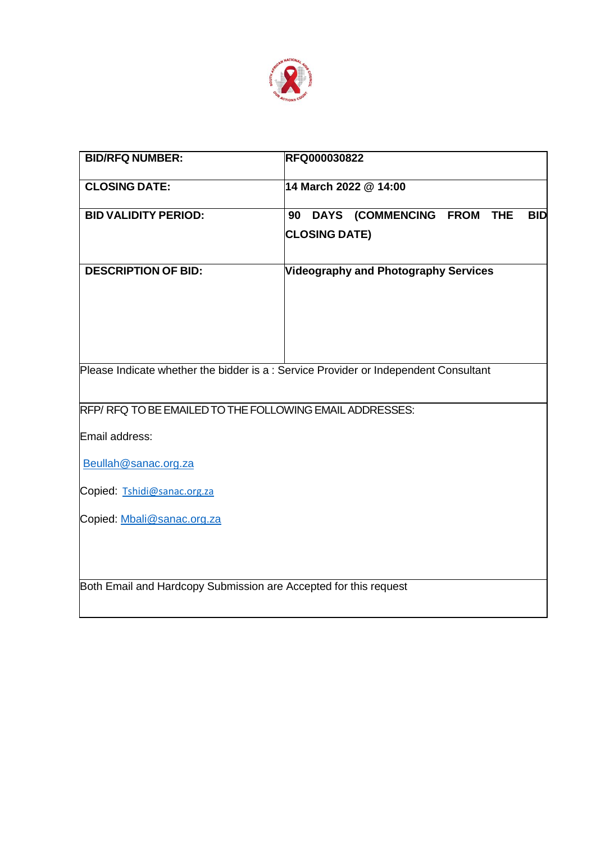

| <b>BID/RFQ NUMBER:</b>                                                                            | <b>RFQ000030822</b>                                                                 |
|---------------------------------------------------------------------------------------------------|-------------------------------------------------------------------------------------|
| <b>CLOSING DATE:</b>                                                                              | 14 March 2022 @ 14:00                                                               |
| <b>BID VALIDITY PERIOD:</b>                                                                       | DAYS (COMMENCING FROM<br>90<br><b>THE</b><br><b>BID</b><br><b>CLOSING DATE)</b>     |
| <b>DESCRIPTION OF BID:</b>                                                                        | Videography and Photography Services                                                |
|                                                                                                   | Please Indicate whether the bidder is a: Service Provider or Independent Consultant |
| RFP/RFQ TO BE EMAILED TO THE FOLLOWING EMAIL ADDRESSES:<br>Email address:<br>Beullah@sanac.org.za |                                                                                     |
| Copied: Tshidi@sanac.org.za                                                                       |                                                                                     |
| Copied: Mbali@sanac.org.za                                                                        |                                                                                     |
| Both Email and Hardcopy Submission are Accepted for this request                                  |                                                                                     |